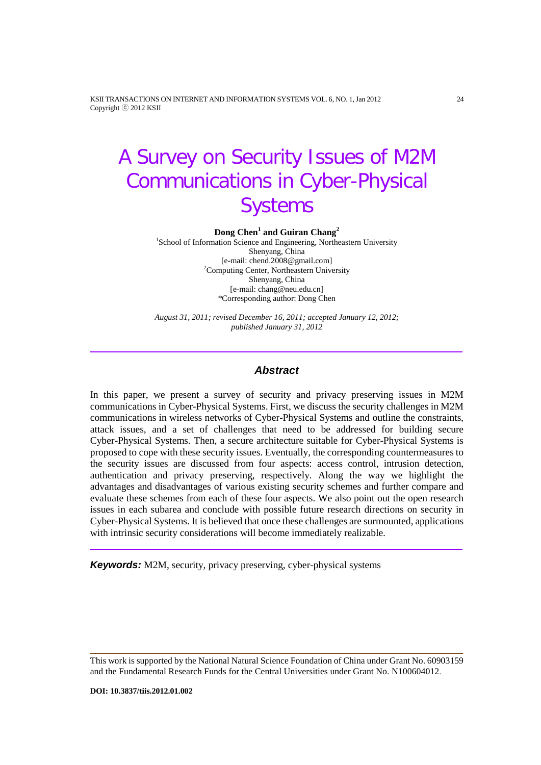KSII TRANSACTIONS ON INTERNET AND INFORMATION SYSTEMS VOL. 6, NO. 1, Jan 2012 24 Copyright ⓒ 2012 KSII

# A Survey on Security Issues of M2M Communications in Cyber-Physical **Systems**

**Dong Chen1 and Guiran Chang<sup>2</sup>**

<sup>1</sup>School of Information Science and Engineering, Northeastern University Shenyang, China [e-mail: chend.2008@gmail.com] <sup>2</sup> <sup>2</sup>Computing Center, Northeastern University Shenyang, China [e-mail: chang@neu.edu.cn] \*Corresponding author: Dong Chen

*August 31, 2011; revised December 16, 2011; accepted January 12, 2012; published January 31, 2012*

# *Abstract*

In this paper, we present a survey of security and privacy preserving issues in M2M communications in Cyber-Physical Systems. First, we discuss the security challenges in M2M communications in wireless networks of Cyber-Physical Systems and outline the constraints, attack issues, and a set of challenges that need to be addressed for building secure Cyber-Physical Systems. Then, a secure architecture suitable for Cyber-Physical Systems is proposed to cope with these security issues. Eventually, the corresponding countermeasures to the security issues are discussed from four aspects: access control, intrusion detection, authentication and privacy preserving, respectively. Along the way we highlight the advantages and disadvantages of various existing security schemes and further compare and evaluate these schemes from each of these four aspects. We also point out the open research issues in each subarea and conclude with possible future research directions on security in Cyber-Physical Systems. It is believed that once these challenges are surmounted, applications with intrinsic security considerations will become immediately realizable.

*Keywords:* M2M, security, privacy preserving, cyber-physical systems

This work is supported by the National Natural Science Foundation of China under Grant No. 60903159 and the Fundamental Research Funds for the Central Universities under Grant No. N100604012.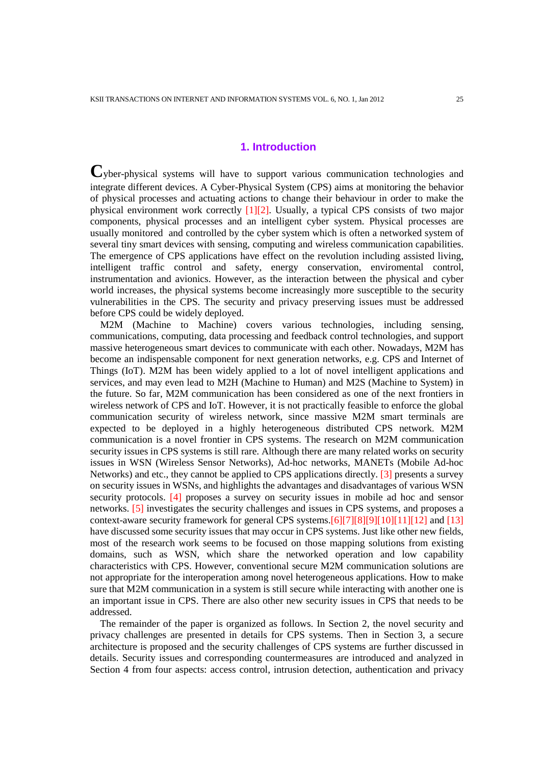# **1. Introduction**

**C**yber-physical systems will have to support various communication technologies and integrate different devices. A Cyber-Physical System (CPS) aims at monitoring the behavior of physical processes and actuating actions to change their behaviour in order to make the physical environment work correctly [1][2]. Usually, a typical CPS consists of two major components, physical processes and an intelligent cyber system. Physical processes are usually monitored and controlled by the cyber system which is often a networked system of several tiny smart devices with sensing, computing and wireless communication capabilities. The emergence of CPS applications have effect on the revolution including assisted living, intelligent traffic control and safety, energy conservation, enviromental control, instrumentation and avionics. However, as the interaction between the physical and cyber world increases, the physical systems become increasingly more susceptible to the security vulnerabilities in the CPS. The security and privacy preserving issues must be addressed before CPS could be widely deployed.

M2M (Machine to Machine) covers various technologies, including sensing, communications, computing, data processing and feedback control technologies, and support massive heterogeneous smart devices to communicate with each other. Nowadays, M2M has become an indispensable component for next generation networks, e.g. CPS and Internet of Things (IoT). M2M has been widely applied to a lot of novel intelligent applications and services, and may even lead to M2H (Machine to Human) and M2S (Machine to System) in the future. So far, M2M communication has been considered as one of the next frontiers in wireless network of CPS and IoT. However, it is not practically feasible to enforce the global communication security of wireless network, since massive M2M smart terminals are expected to be deployed in a highly heterogeneous distributed CPS network. M2M communication is a novel frontier in CPS systems. The research on M2M communication security issues in CPS systems is still rare. Although there are many related works on security issues in WSN (Wireless Sensor Networks), Ad-hoc networks, MANETs (Mobile Ad-hoc Networks) and etc., they cannot be applied to CPS applications directly. [3] presents a survey on security issues in WSNs, and highlights the advantages and disadvantages of various WSN security protocols. [4] proposes a survey on security issues in mobile ad hoc and sensor networks. [5] investigates the security challenges and issues in CPS systems, and proposes a context-aware security framework for general CPS systems.[6][7][8][9][10][11][12] and [13] have discussed some security issues that may occur in CPS systems. Just like other new fields, most of the research work seems to be focused on those mapping solutions from existing domains, such as WSN, which share the networked operation and low capability characteristics with CPS. However, conventional secure M2M communication solutions are not appropriate for the interoperation among novel heterogeneous applications. How to make sure that M2M communication in a system is still secure while interacting with another one is an important issue in CPS. There are also other new security issues in CPS that needs to be addressed.

The remainder of the paper is organized as follows. In Section 2, the novel security and privacy challenges are presented in details for CPS systems. Then in Section 3, a secure architecture is proposed and the security challenges of CPS systems are further discussed in details. Security issues and corresponding countermeasures are introduced and analyzed in Section 4 from four aspects: access control, intrusion detection, authentication and privacy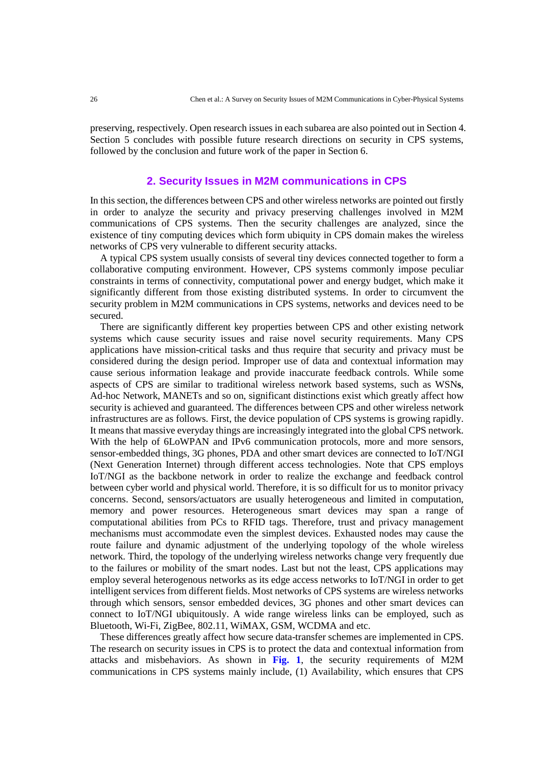preserving, respectively. Open research issues in each subarea are also pointed out in Section 4. Section 5 concludes with possible future research directions on security in CPS systems, followed by the conclusion and future work of the paper in Section 6.

## **2. Security Issues in M2M communications in CPS**

In this section, the differences between CPS and other wireless networks are pointed out firstly in order to analyze the security and privacy preserving challenges involved in M2M communications of CPS systems. Then the security challenges are analyzed, since the existence of tiny computing devices which form ubiquity in CPS domain makes the wireless networks of CPS very vulnerable to different security attacks.

A typical CPS system usually consists of several tiny devices connected together to form a collaborative computing environment. However, CPS systems commonly impose peculiar constraints in terms of connectivity, computational power and energy budget, which make it significantly different from those existing distributed systems. In order to circumvent the security problem in M2M communications in CPS systems, networks and devices need to be secured.

There are significantly different key properties between CPS and other existing network systems which cause security issues and raise novel security requirements. Many CPS applications have mission-critical tasks and thus require that security and privacy must be considered during the design period. Improper use of data and contextual information may cause serious information leakage and provide inaccurate feedback controls. While some aspects of CPS are similar to traditional wireless network based systems, such as WSN**s**, Ad-hoc Network, MANETs and so on, significant distinctions exist which greatly affect how security is achieved and guaranteed. The differences between CPS and other wireless network infrastructures are as follows. First, the device population of CPS systems is growing rapidly. It means that massive everyday things are increasingly integrated into the global CPS network. With the help of 6LoWPAN and IPv6 communication protocols, more and more sensors, sensor-embedded things, 3G phones, PDA and other smart devices are connected to IoT/NGI (Next Generation Internet) through different access technologies. Note that CPS employs IoT/NGI as the backbone network in order to realize the exchange and feedback control between cyber world and physical world. Therefore, it is so difficult for us to monitor privacy concerns. Second, sensors/actuators are usually heterogeneous and limited in computation, memory and power resources. Heterogeneous smart devices may span a range of computational abilities from PCs to RFID tags. Therefore, trust and privacy management mechanisms must accommodate even the simplest devices. Exhausted nodes may cause the route failure and dynamic adjustment of the underlying topology of the whole wireless network. Third, the topology of the underlying wireless networks change very frequently due to the failures or mobility of the smart nodes. Last but not the least, CPS applications may employ several heterogenous networks as its edge access networks to IoT/NGI in order to get intelligent services from different fields. Most networks of CPS systems are wireless networks through which sensors, sensor embedded devices, 3G phones and other smart devices can connect to IoT/NGI ubiquitously. A wide range wireless links can be employed, such as Bluetooth, Wi-Fi, ZigBee, 802.11, WiMAX, GSM, WCDMA and etc.

These differences greatly affect how secure data-transfer schemes are implemented in CPS. The research on security issues in CPS is to protect the data and contextual information from attacks and misbehaviors. As shown in **Fig. 1**, the security requirements of M2M communications in CPS systems mainly include, (1) Availability, which ensures that CPS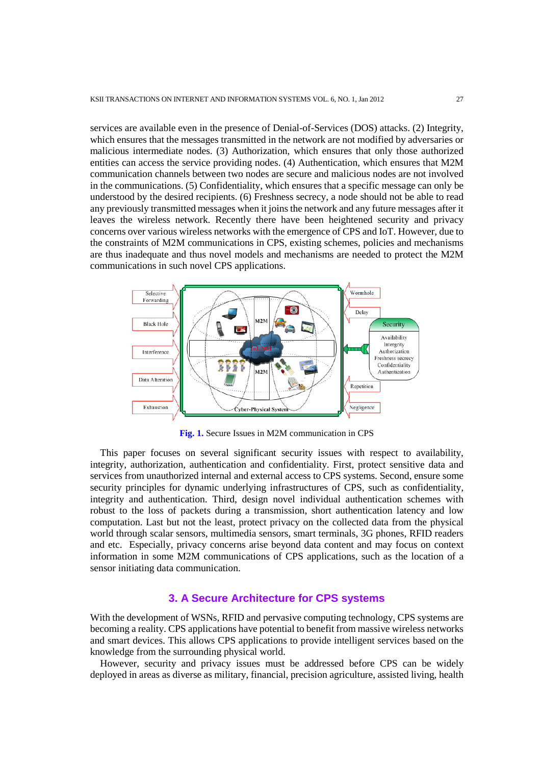services are available even in the presence of Denial-of-Services (DOS) attacks. (2) Integrity, which ensures that the messages transmitted in the network are not modified by adversaries or malicious intermediate nodes. (3) Authorization, which ensures that only those authorized entities can access the service providing nodes. (4) Authentication, which ensures that M2M communication channels between two nodes are secure and malicious nodes are not involved in the communications. (5) Confidentiality, which ensures that a specific message can only be understood by the desired recipients. (6) Freshness secrecy, a node should not be able to read any previously transmitted messages when it joins the network and any future messages after it leaves the wireless network. Recently there have been heightened security and privacy concerns over various wireless networks with the emergence of CPS and IoT. However, due to the constraints of M2M communications in CPS, existing schemes, policies and mechanisms are thus inadequate and thus novel models and mechanisms are needed to protect the M2M communications in such novel CPS applications.



**Fig. 1.** Secure Issues in M2M communication in CPS

This paper focuses on several significant security issues with respect to availability, integrity, authorization, authentication and confidentiality. First, protect sensitive data and services from unauthorized internal and external access to CPS systems. Second, ensure some security principles for dynamic underlying infrastructures of CPS, such as confidentiality, integrity and authentication. Third, design novel individual authentication schemes with robust to the loss of packets during a transmission, short authentication latency and low computation. Last but not the least, protect privacy on the collected data from the physical world through scalar sensors, multimedia sensors, smart terminals, 3G phones, RFID readers and etc. Especially, privacy concerns arise beyond data content and may focus on context information in some M2M communications of CPS applications, such as the location of a sensor initiating data communication.

#### **3. A Secure Architecture for CPS systems**

With the development of WSNs, RFID and pervasive computing technology, CPS systems are becoming a reality. CPS applications have potential to benefit from massive wireless networks and smart devices. This allows CPS applications to provide intelligent services based on the knowledge from the surrounding physical world.

However, security and privacy issues must be addressed before CPS can be widely deployed in areas as diverse as military, financial, precision agriculture, assisted living, health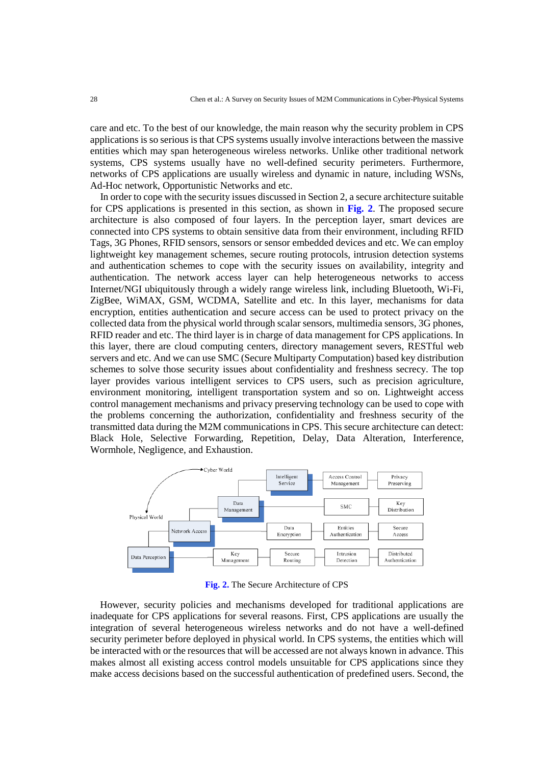care and etc. To the best of our knowledge, the main reason why the security problem in CPS applications is so serious is that CPS systems usually involve interactions between the massive entities which may span heterogeneous wireless networks. Unlike other traditional network systems, CPS systems usually have no well-defined security perimeters. Furthermore, networks of CPS applications are usually wireless and dynamic in nature, including WSNs, Ad-Hoc network, Opportunistic Networks and etc.

In order to cope with the security issues discussed in Section 2, a secure architecture suitable for CPS applications is presented in this section, as shown in **Fig. 2**. The proposed secure architecture is also composed of four layers. In the perception layer, smart devices are connected into CPS systems to obtain sensitive data from their environment, including RFID Tags, 3G Phones, RFID sensors, sensors or sensor embedded devices and etc. We can employ lightweight key management schemes, secure routing protocols, intrusion detection systems and authentication schemes to cope with the security issues on availability, integrity and authentication. The network access layer can help heterogeneous networks to access Internet/NGI ubiquitously through a widely range wireless link, including Bluetooth, Wi-Fi, ZigBee, WiMAX, GSM, WCDMA, Satellite and etc. In this layer, mechanisms for data encryption, entities authentication and secure access can be used to protect privacy on the collected data from the physical world through scalar sensors, multimedia sensors, 3G phones, RFID reader and etc. The third layer is in charge of data management for CPS applications. In this layer, there are cloud computing centers, directory management severs, RESTful web servers and etc. And we can use SMC (Secure Multiparty Computation) based key distribution schemes to solve those security issues about confidentiality and freshness secrecy. The top layer provides various intelligent services to CPS users, such as precision agriculture, environment monitoring, intelligent transportation system and so on. Lightweight access control management mechanisms and privacy preserving technology can be used to cope with the problems concerning the authorization, confidentiality and freshness security of the transmitted data during the M2M communications in CPS. This secure architecture can detect: Black Hole, Selective Forwarding, Repetition, Delay, Data Alteration, Interference, Wormhole, Negligence, and Exhaustion.



**Fig. 2.** The Secure Architecture of CPS

However, security policies and mechanisms developed for traditional applications are inadequate for CPS applications for several reasons. First, CPS applications are usually the integration of several heterogeneous wireless networks and do not have a well-defined security perimeter before deployed in physical world. In CPS systems, the entities which will be interacted with or the resources that will be accessed are not always known in advance. This makes almost all existing access control models unsuitable for CPS applications since they make access decisions based on the successful authentication of predefined users. Second, the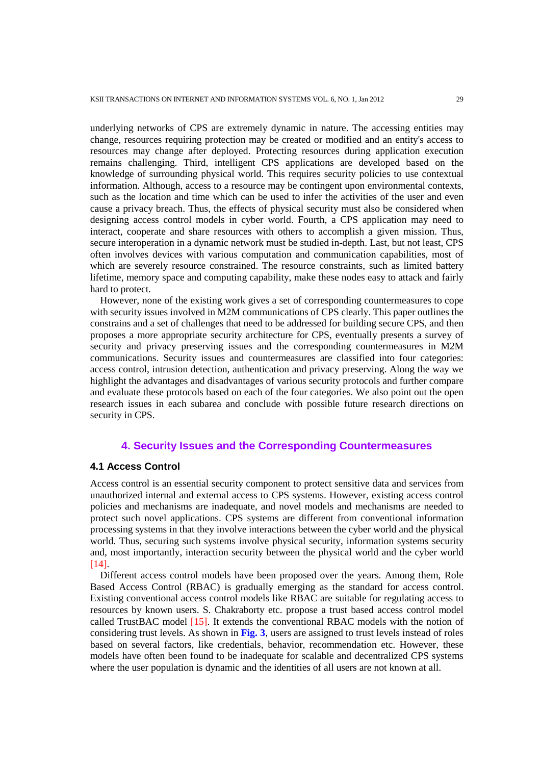underlying networks of CPS are extremely dynamic in nature. The accessing entities may change, resources requiring protection may be created or modified and an entity's access to resources may change after deployed. Protecting resources during application execution remains challenging. Third, intelligent CPS applications are developed based on the knowledge of surrounding physical world. This requires security policies to use contextual information. Although, access to a resource may be contingent upon environmental contexts, such as the location and time which can be used to infer the activities of the user and even cause a privacy breach. Thus, the effects of physical security must also be considered when designing access control models in cyber world. Fourth, a CPS application may need to interact, cooperate and share resources with others to accomplish a given mission. Thus, secure interoperation in a dynamic network must be studied in-depth. Last, but not least, CPS often involves devices with various computation and communication capabilities, most of which are severely resource constrained. The resource constraints, such as limited battery lifetime, memory space and computing capability, make these nodes easy to attack and fairly hard to protect.

However, none of the existing work gives a set of corresponding countermeasures to cope with security issues involved in M2M communications of CPS clearly. This paper outlines the constrains and a set of challenges that need to be addressed for building secure CPS, and then proposes a more appropriate security architecture for CPS, eventually presents a survey of security and privacy preserving issues and the corresponding countermeasures in M2M communications. Security issues and countermeasures are classified into four categories: access control, intrusion detection, authentication and privacy preserving. Along the way we highlight the advantages and disadvantages of various security protocols and further compare and evaluate these protocols based on each of the four categories. We also point out the open research issues in each subarea and conclude with possible future research directions on security in CPS.

### **4. Security Issues and the Corresponding Countermeasures**

#### **4.1 Access Control**

Access control is an essential security component to protect sensitive data and services from unauthorized internal and external access to CPS systems. However, existing access control policies and mechanisms are inadequate, and novel models and mechanisms are needed to protect such novel applications. CPS systems are different from conventional information processing systems in that they involve interactions between the cyber world and the physical world. Thus, securing such systems involve physical security, information systems security and, most importantly, interaction security between the physical world and the cyber world [14].

Different access control models have been proposed over the years. Among them, Role Based Access Control (RBAC) is gradually emerging as the standard for access control. Existing conventional access control models like RBAC are suitable for regulating access to resources by known users. S. Chakraborty etc. propose a trust based access control model called TrustBAC model [15]. It extends the conventional RBAC models with the notion of considering trust levels. As shown in **Fig. 3**, users are assigned to trust levels instead of roles based on several factors, like credentials, behavior, recommendation etc. However, these models have often been found to be inadequate for scalable and decentralized CPS systems where the user population is dynamic and the identities of all users are not known at all.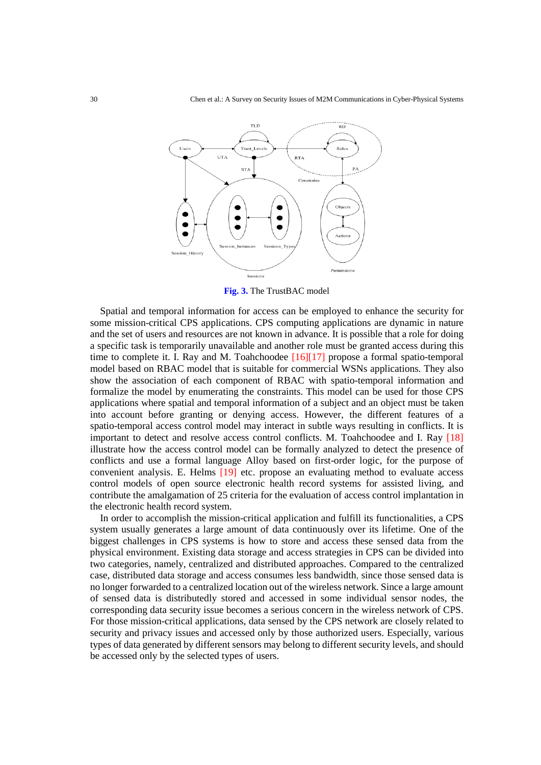

**Fig. 3.** The TrustBAC model

Spatial and temporal information for access can be employed to enhance the security for some mission-critical CPS applications. CPS computing applications are dynamic in nature and the set of users and resources are not known in advance. It is possible that a role for doing a specific task is temporarily unavailable and another role must be granted access during this time to complete it. I. Ray and M. Toahchoodee [16][17] propose a formal spatio-temporal model based on RBAC model that is suitable for commercial WSNs applications. They also show the association of each component of RBAC with spatio-temporal information and formalize the model by enumerating the constraints. This model can be used for those CPS applications where spatial and temporal information of a subject and an object must be taken into account before granting or denying access. However, the different features of a spatio-temporal access control model may interact in subtle ways resulting in conflicts. It is important to detect and resolve access control conflicts. M. Toahchoodee and I. Ray [18] illustrate how the access control model can be formally analyzed to detect the presence of conflicts and use a formal language Alloy based on first-order logic, for the purpose of convenient analysis. E. Helms [19] etc. propose an evaluating method to evaluate access control models of open source electronic health record systems for assisted living, and contribute the amalgamation of 25 criteria for the evaluation of access control implantation in the electronic health record system.

In order to accomplish the mission-critical application and fulfill its functionalities, a CPS system usually generates a large amount of data continuously over its lifetime. One of the biggest challenges in CPS systems is how to store and access these sensed data from the physical environment. Existing data storage and access strategies in CPS can be divided into two categories, namely, centralized and distributed approaches. Compared to the centralized case, distributed data storage and access consumes less bandwidth, since those sensed data is no longer forwarded to a centralized location out of the wireless network. Since a large amount of sensed data is distributedly stored and accessed in some individual sensor nodes, the corresponding data security issue becomes a serious concern in the wireless network of CPS. For those mission-critical applications, data sensed by the CPS network are closely related to security and privacy issues and accessed only by those authorized users. Especially, various types of data generated by different sensors may belong to different security levels, and should be accessed only by the selected types of users.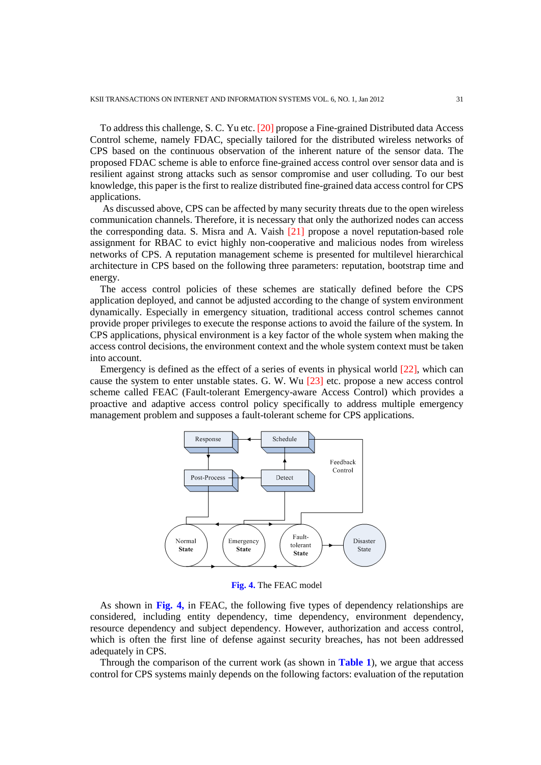To address this challenge, S. C. Yu etc. [20] propose a Fine-grained Distributed data Access Control scheme, namely FDAC, specially tailored for the distributed wireless networks of CPS based on the continuous observation of the inherent nature of the sensor data. The proposed FDAC scheme is able to enforce fine-grained access control over sensor data and is resilient against strong attacks such as sensor compromise and user colluding. To our best knowledge, this paper is the first to realize distributed fine-grained data access control for CPS applications.

As discussed above, CPS can be affected by many security threats due to the open wireless communication channels. Therefore, it is necessary that only the authorized nodes can access the corresponding data. S. Misra and A. Vaish [21] propose a novel reputation-based role assignment for RBAC to evict highly non-cooperative and malicious nodes from wireless networks of CPS. A reputation management scheme is presented for multilevel hierarchical architecture in CPS based on the following three parameters: reputation, bootstrap time and energy.

The access control policies of these schemes are statically defined before the CPS application deployed, and cannot be adjusted according to the change of system environment dynamically. Especially in emergency situation, traditional access control schemes cannot provide proper privileges to execute the response actions to avoid the failure of the system. In CPS applications, physical environment is a key factor of the whole system when making the access control decisions, the environment context and the whole system context must be taken into account.

Emergency is defined as the effect of a series of events in physical world [22], which can cause the system to enter unstable states. G. W. Wu [23] etc. propose a new access control scheme called FEAC (Fault-tolerant Emergency-aware Access Control) which provides a proactive and adaptive access control policy specifically to address multiple emergency management problem and supposes a fault-tolerant scheme for CPS applications.



**Fig. 4.** The FEAC model

As shown in **Fig. 4,** in FEAC, the following five types of dependency relationships are considered, including entity dependency, time dependency, environment dependency, resource dependency and subject dependency. However, authorization and access control, which is often the first line of defense against security breaches, has not been addressed adequately in CPS.

Through the comparison of the current work (as shown in **Table 1**), we argue that access control for CPS systems mainly depends on the following factors: evaluation of the reputation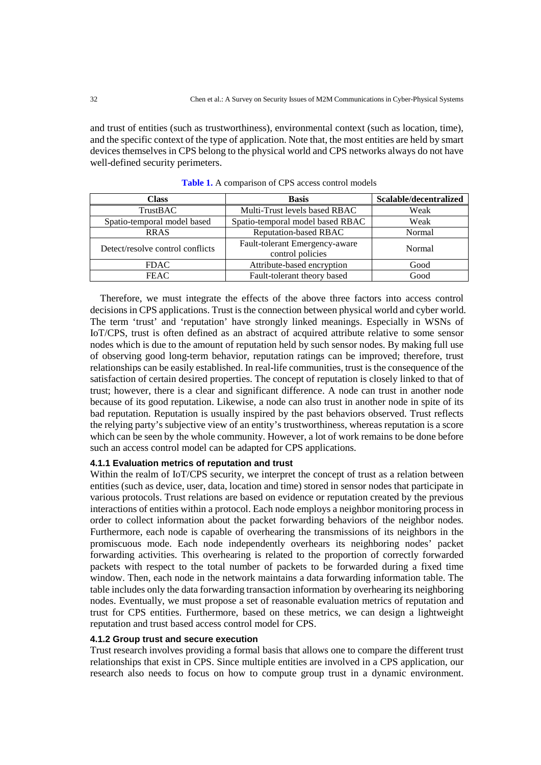and trust of entities (such as trustworthiness), environmental context (such as location, time), and the specific context of the type of application. Note that, the most entities are held by smart devices themselves in CPS belong to the physical world and CPS networks always do not have well-defined security perimeters.

| Class                                                                                  | <b>Basis</b>                     | Scalable/decentralized |
|----------------------------------------------------------------------------------------|----------------------------------|------------------------|
| <b>TrustBAC</b>                                                                        | Multi-Trust levels based RBAC    | Weak                   |
| Spatio-temporal model based                                                            | Spatio-temporal model based RBAC | Weak                   |
| <b>RRAS</b>                                                                            | <b>Reputation-based RBAC</b>     | Normal                 |
| Fault-tolerant Emergency-aware<br>Detect/resolve control conflicts<br>control policies |                                  | Normal                 |
| <b>FDAC</b>                                                                            | Attribute-based encryption       | Good                   |
| <b>FEAC</b>                                                                            | Fault-tolerant theory based      | Good                   |

**Table 1.** A comparison of CPS access control models

Therefore, we must integrate the effects of the above three factors into access control decisions in CPS applications. Trust is the connection between physical world and cyber world. The term 'trust' and 'reputation' have strongly linked meanings. Especially in WSNs of IoT/CPS, trust is often defined as an abstract of acquired attribute relative to some sensor nodes which is due to the amount of reputation held by such sensor nodes. By making full use of observing good long-term behavior, reputation ratings can be improved; therefore, trust relationships can be easily established. In real-life communities, trust is the consequence of the satisfaction of certain desired properties. The concept of reputation is closely linked to that of trust; however, there is a clear and significant difference. A node can trust in another node because of its good reputation. Likewise, a node can also trust in another node in spite of its bad reputation. Reputation is usually inspired by the past behaviors observed. Trust reflects the relying party's subjective view of an entity's trustworthiness, whereas reputation is a score which can be seen by the whole community. However, a lot of work remains to be done before such an access control model can be adapted for CPS applications.

#### **4.1.1 Evaluation metrics of reputation and trust**

Within the realm of IoT/CPS security, we interpret the concept of trust as a relation between entities (such as device, user, data, location and time) stored in sensor nodes that participate in various protocols. Trust relations are based on evidence or reputation created by the previous interactions of entities within a protocol. Each node employs a neighbor monitoring process in order to collect information about the packet forwarding behaviors of the neighbor nodes. Furthermore, each node is capable of overhearing the transmissions of its neighbors in the promiscuous mode. Each node independently overhears its neighboring nodes' packet forwarding activities. This overhearing is related to the proportion of correctly forwarded packets with respect to the total number of packets to be forwarded during a fixed time window. Then, each node in the network maintains a data forwarding information table. The table includes only the data forwarding transaction information by overhearing its neighboring nodes. Eventually, we must propose a set of reasonable evaluation metrics of reputation and trust for CPS entities. Furthermore, based on these metrics, we can design a lightweight reputation and trust based access control model for CPS.

#### **4.1.2 Group trust and secure execution**

Trust research involves providing a formal basis that allows one to compare the different trust relationships that exist in CPS. Since multiple entities are involved in a CPS application, our research also needs to focus on how to compute group trust in a dynamic environment.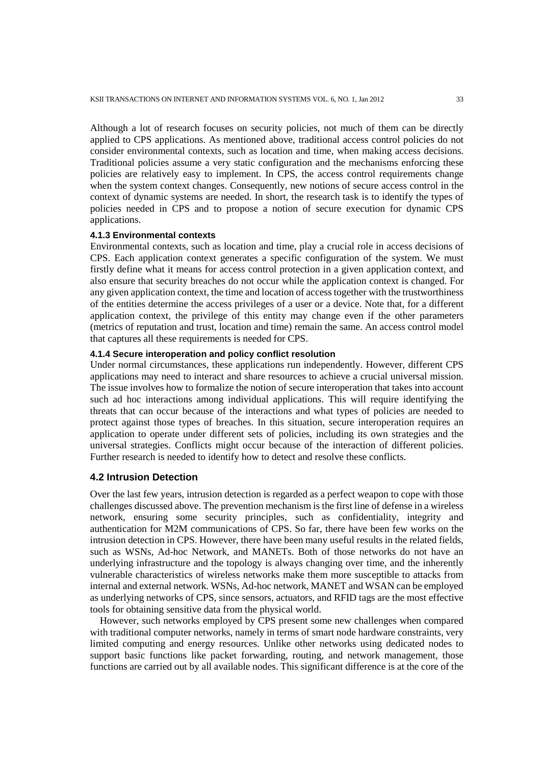Although a lot of research focuses on security policies, not much of them can be directly applied to CPS applications. As mentioned above, traditional access control policies do not consider environmental contexts, such as location and time, when making access decisions. Traditional policies assume a very static configuration and the mechanisms enforcing these policies are relatively easy to implement. In CPS, the access control requirements change when the system context changes. Consequently, new notions of secure access control in the context of dynamic systems are needed. In short, the research task is to identify the types of policies needed in CPS and to propose a notion of secure execution for dynamic CPS applications.

## **4.1.3 Environmental contexts**

Environmental contexts, such as location and time, play a crucial role in access decisions of CPS. Each application context generates a specific configuration of the system. We must firstly define what it means for access control protection in a given application context, and also ensure that security breaches do not occur while the application context is changed. For any given application context, the time and location of access together with the trustworthiness of the entities determine the access privileges of a user or a device. Note that, for a different application context, the privilege of this entity may change even if the other parameters (metrics of reputation and trust, location and time) remain the same. An access control model that captures all these requirements is needed for CPS.

## **4.1.4 Secure interoperation and policy conflict resolution**

Under normal circumstances, these applications run independently. However, different CPS applications may need to interact and share resources to achieve a crucial universal mission. The issue involves how to formalize the notion of secure interoperation that takes into account such ad hoc interactions among individual applications. This will require identifying the threats that can occur because of the interactions and what types of policies are needed to protect against those types of breaches. In this situation, secure interoperation requires an application to operate under different sets of policies, including its own strategies and the universal strategies. Conflicts might occur because of the interaction of different policies. Further research is needed to identify how to detect and resolve these conflicts.

# **4.2 Intrusion Detection**

Over the last few years, intrusion detection is regarded as a perfect weapon to cope with those challenges discussed above. The prevention mechanism is the first line of defense in a wireless network, ensuring some security principles, such as confidentiality, integrity and authentication for M2M communications of CPS. So far, there have been few works on the intrusion detection in CPS. However, there have been many useful results in the related fields, such as WSNs, Ad-hoc Network, and MANETs. Both of those networks do not have an underlying infrastructure and the topology is always changing over time, and the inherently vulnerable characteristics of wireless networks make them more susceptible to attacks from internal and external network. WSNs, Ad-hoc network, MANET and WSAN can be employed as underlying networks of CPS, since sensors, actuators, and RFID tags are the most effective tools for obtaining sensitive data from the physical world.

However, such networks employed by CPS present some new challenges when compared with traditional computer networks, namely in terms of smart node hardware constraints, very limited computing and energy resources. Unlike other networks using dedicated nodes to support basic functions like packet forwarding, routing, and network management, those functions are carried out by all available nodes. This significant difference is at the core of the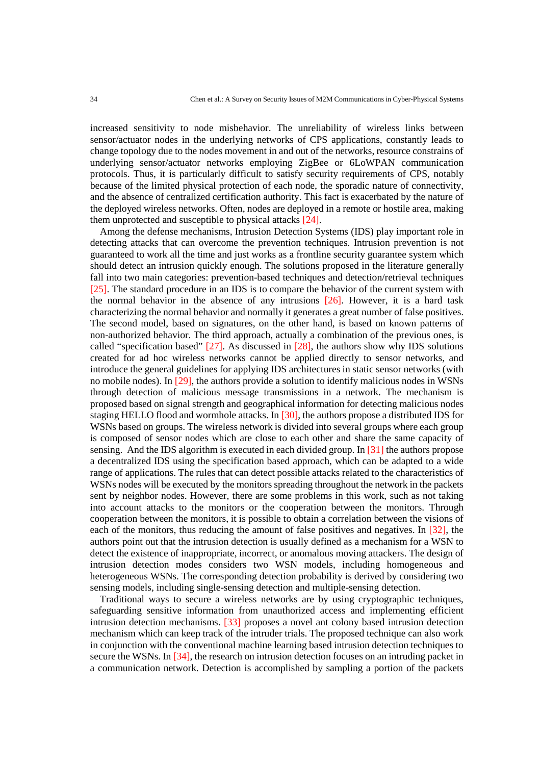increased sensitivity to node misbehavior. The unreliability of wireless links between sensor/actuator nodes in the underlying networks of CPS applications, constantly leads to change topology due to the nodes movement in and out of the networks, resource constrains of underlying sensor/actuator networks employing ZigBee or 6LoWPAN communication protocols. Thus, it is particularly difficult to satisfy security requirements of CPS, notably because of the limited physical protection of each node, the sporadic nature of connectivity, and the absence of centralized certification authority. This fact is exacerbated by the nature of the deployed wireless networks. Often, nodes are deployed in a remote or hostile area, making them unprotected and susceptible to physical attacks [24].

Among the defense mechanisms, Intrusion Detection Systems (IDS) play important role in detecting attacks that can overcome the prevention techniques. Intrusion prevention is not guaranteed to work all the time and just works as a frontline security guarantee system which should detect an intrusion quickly enough. The solutions proposed in the literature generally fall into two main categories: prevention-based techniques and detection/retrieval techniques [25]. The standard procedure in an IDS is to compare the behavior of the current system with the normal behavior in the absence of any intrusions [26]. However, it is a hard task characterizing the normal behavior and normally it generates a great number of false positives. The second model, based on signatures, on the other hand, is based on known patterns of non-authorized behavior. The third approach, actually a combination of the previous ones, is called "specification based" [27]. As discussed in [28], the authors show why IDS solutions created for ad hoc wireless networks cannot be applied directly to sensor networks, and introduce the general guidelines for applying IDS architectures in static sensor networks (with no mobile nodes). In [29], the authors provide a solution to identify malicious nodes in WSNs through detection of malicious message transmissions in a network. The mechanism is proposed based on signal strength and geographical information for detecting malicious nodes staging HELLO flood and wormhole attacks. In [30], the authors propose a distributed IDS for WSNs based on groups. The wireless network is divided into several groups where each group is composed of sensor nodes which are close to each other and share the same capacity of sensing. And the IDS algorithm is executed in each divided group. In [31] the authors propose a decentralized IDS using the specification based approach, which can be adapted to a wide range of applications. The rules that can detect possible attacks related to the characteristics of WSNs nodes will be executed by the monitors spreading throughout the network in the packets sent by neighbor nodes. However, there are some problems in this work, such as not taking into account attacks to the monitors or the cooperation between the monitors. Through cooperation between the monitors, it is possible to obtain a correlation between the visions of each of the monitors, thus reducing the amount of false positives and negatives. In [32], the authors point out that the intrusion detection is usually defined as a mechanism for a WSN to detect the existence of inappropriate, incorrect, or anomalous moving attackers. The design of intrusion detection modes considers two WSN models, including homogeneous and heterogeneous WSNs. The corresponding detection probability is derived by considering two sensing models, including single-sensing detection and multiple-sensing detection.

Traditional ways to secure a wireless networks are by using cryptographic techniques, safeguarding sensitive information from unauthorized access and implementing efficient intrusion detection mechanisms. [33] proposes a novel ant colony based intrusion detection mechanism which can keep track of the intruder trials. The proposed technique can also work in conjunction with the conventional machine learning based intrusion detection techniques to secure the WSNs. In [34], the research on intrusion detection focuses on an intruding packet in a communication network. Detection is accomplished by sampling a portion of the packets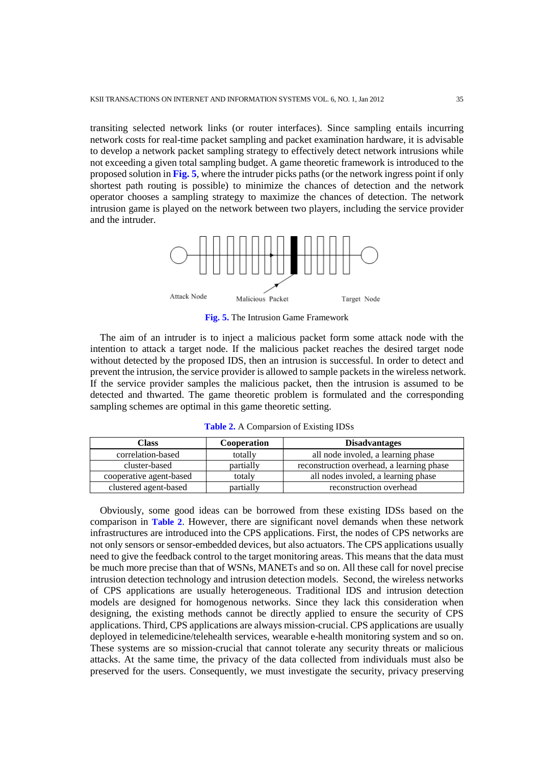transiting selected network links (or router interfaces). Since sampling entails incurring network costs for real-time packet sampling and packet examination hardware, it is advisable to develop a network packet sampling strategy to effectively detect network intrusions while not exceeding a given total sampling budget. A game theoretic framework is introduced to the proposed solution in **Fig. 5**, where the intruder picks paths (or the network ingress point if only shortest path routing is possible) to minimize the chances of detection and the network operator chooses a sampling strategy to maximize the chances of detection. The network intrusion game is played on the network between two players, including the service provider and the intruder.



**Fig. 5.** The Intrusion Game Framework

The aim of an intruder is to inject a malicious packet form some attack node with the intention to attack a target node. If the malicious packet reaches the desired target node without detected by the proposed IDS, then an intrusion is successful. In order to detect and prevent the intrusion, the service provider is allowed to sample packets in the wireless network. If the service provider samples the malicious packet, then the intrusion is assumed to be detected and thwarted. The game theoretic problem is formulated and the corresponding sampling schemes are optimal in this game theoretic setting.

| Class                   | <b>Cooperation</b> | <b>Disadvantages</b>                      |
|-------------------------|--------------------|-------------------------------------------|
| correlation-based       | totally            | all node involed, a learning phase        |
| cluster-based           | partially          | reconstruction overhead, a learning phase |
| cooperative agent-based | totaly             | all nodes involed, a learning phase       |
| clustered agent-based   | partially          | reconstruction overhead                   |

**Table 2.** A Comparsion of Existing IDSs

Obviously, some good ideas can be borrowed from these existing IDSs based on the comparison in **Table 2**. However, there are significant novel demands when these network infrastructures are introduced into the CPS applications. First, the nodes of CPS networks are not only sensors or sensor-embedded devices, but also actuators. The CPS applications usually need to give the feedback control to the target monitoring areas. This means that the data must be much more precise than that of WSNs, MANETs and so on. All these call for novel precise intrusion detection technology and intrusion detection models. Second, the wireless networks of CPS applications are usually heterogeneous. Traditional IDS and intrusion detection models are designed for homogenous networks. Since they lack this consideration when designing, the existing methods cannot be directly applied to ensure the security of CPS applications. Third, CPS applications are always mission-crucial. CPS applications are usually deployed in telemedicine/telehealth services, wearable e-health monitoring system and so on. These systems are so mission-crucial that cannot tolerate any security threats or malicious attacks. At the same time, the privacy of the data collected from individuals must also be preserved for the users. Consequently, we must investigate the security, privacy preserving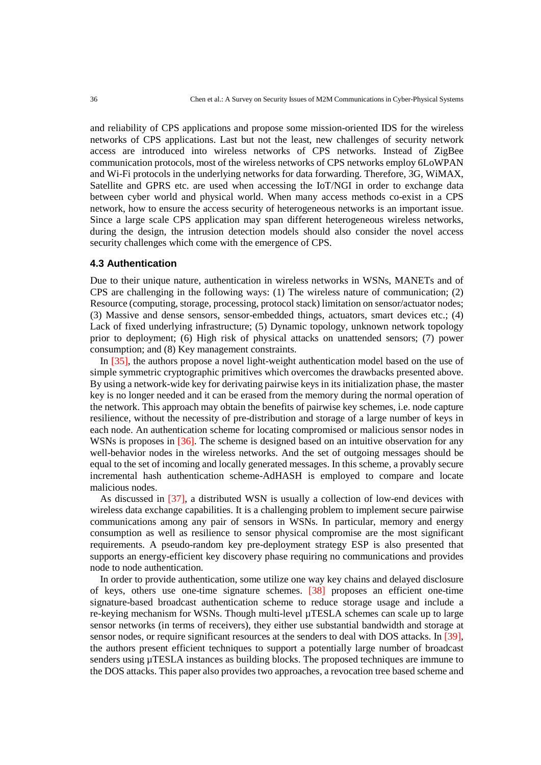and reliability of CPS applications and propose some mission-oriented IDS for the wireless networks of CPS applications. Last but not the least, new challenges of security network access are introduced into wireless networks of CPS networks. Instead of ZigBee communication protocols, most of the wireless networks of CPS networks employ 6LoWPAN and Wi-Fi protocols in the underlying networks for data forwarding. Therefore, 3G, WiMAX, Satellite and GPRS etc. are used when accessing the IoT/NGI in order to exchange data between cyber world and physical world. When many access methods co-exist in a CPS network, how to ensure the access security of heterogeneous networks is an important issue. Since a large scale CPS application may span different heterogeneous wireless networks, during the design, the intrusion detection models should also consider the novel access security challenges which come with the emergence of CPS.

#### **4.3 Authentication**

Due to their unique nature, authentication in wireless networks in WSNs, MANETs and of CPS are challenging in the following ways: (1) The wireless nature of communication; (2) Resource (computing, storage, processing, protocol stack) limitation on sensor/actuator nodes; (3) Massive and dense sensors, sensor-embedded things, actuators, smart devices etc.; (4) Lack of fixed underlying infrastructure; (5) Dynamic topology, unknown network topology prior to deployment; (6) High risk of physical attacks on unattended sensors; (7) power consumption; and (8) Key management constraints.

In [35], the authors propose a novel light-weight authentication model based on the use of simple symmetric cryptographic primitives which overcomes the drawbacks presented above. By using a network-wide key for derivating pairwise keys in its initialization phase, the master key is no longer needed and it can be erased from the memory during the normal operation of the network. This approach may obtain the benefits of pairwise key schemes, i.e. node capture resilience, without the necessity of pre-distribution and storage of a large number of keys in each node. An authentication scheme for locating compromised or malicious sensor nodes in WSNs is proposes in [36]. The scheme is designed based on an intuitive observation for any well-behavior nodes in the wireless networks. And the set of outgoing messages should be equal to the set of incoming and locally generated messages. In this scheme, a provably secure incremental hash authentication scheme-AdHASH is employed to compare and locate malicious nodes.

As discussed in [37], a distributed WSN is usually a collection of low-end devices with wireless data exchange capabilities. It is a challenging problem to implement secure pairwise communications among any pair of sensors in WSNs. In particular, memory and energy consumption as well as resilience to sensor physical compromise are the most significant requirements. A pseudo-random key pre-deployment strategy ESP is also presented that supports an energy-efficient key discovery phase requiring no communications and provides node to node authentication.

In order to provide authentication, some utilize one way key chains and delayed disclosure of keys, others use one-time signature schemes. [38] proposes an efficient one-time signature-based broadcast authentication scheme to reduce storage usage and include a re-keying mechanism for WSNs. Though multi-level µTESLA schemes can scale up to large sensor networks (in terms of receivers), they either use substantial bandwidth and storage at sensor nodes, or require significant resources at the senders to deal with DOS attacks. In [39], the authors present efficient techniques to support a potentially large number of broadcast senders using  $\mu$ TESLA instances as building blocks. The proposed techniques are immune to the DOS attacks. This paper also provides two approaches, a revocation tree based scheme and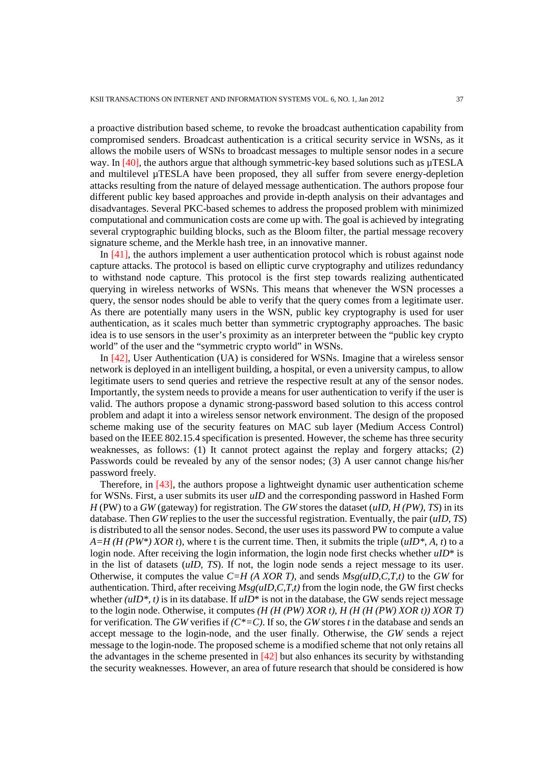a proactive distribution based scheme, to revoke the broadcast authentication capability from compromised senders. Broadcast authentication is a critical security service in WSNs, as it allows the mobile users of WSNs to broadcast messages to multiple sensor nodes in a secure way. In  $[40]$ , the authors argue that although symmetric-key based solutions such as  $\mu$ TESLA and multilevel µTESLA have been proposed, they all suffer from severe energy-depletion attacks resulting from the nature of delayed message authentication. The authors propose four different public key based approaches and provide in-depth analysis on their advantages and disadvantages. Several PKC-based schemes to address the proposed problem with minimized computational and communication costs are come up with. The goal is achieved by integrating several cryptographic building blocks, such as the Bloom filter, the partial message recovery signature scheme, and the Merkle hash tree, in an innovative manner.

In [41], the authors implement a user authentication protocol which is robust against node capture attacks. The protocol is based on elliptic curve cryptography and utilizes redundancy to withstand node capture. This protocol is the first step towards realizing authenticated querying in wireless networks of WSNs. This means that whenever the WSN processes a query, the sensor nodes should be able to verify that the query comes from a legitimate user. As there are potentially many users in the WSN, public key cryptography is used for user authentication, as it scales much better than symmetric cryptography approaches. The basic idea is to use sensors in the user's proximity as an interpreter between the "public key crypto world" of the user and the "symmetric crypto world" in WSNs.

In [42], User Authentication (UA) is considered for WSNs. Imagine that a wireless sensor network is deployed in an intelligent building, a hospital, or even a university campus, to allow legitimate users to send queries and retrieve the respective result at any of the sensor nodes. Importantly, the system needs to provide a means for user authentication to verify if the user is valid. The authors propose a dynamic strong-password based solution to this access control problem and adapt it into a wireless sensor network environment. The design of the proposed scheme making use of the security features on MAC sub layer (Medium Access Control) based on the IEEE 802.15.4 specification is presented. However, the scheme has three security weaknesses, as follows: (1) It cannot protect against the replay and forgery attacks; (2) Passwords could be revealed by any of the sensor nodes; (3) A user cannot change his/her password freely.

Therefore, in [43], the authors propose a lightweight dynamic user authentication scheme for WSNs. First, a user submits its user *uID* and the corresponding password in Hashed Form *H* (PW) to a *GW* (gateway) for registration. The *GW* stores the dataset (*uID, H (PW), TS*) in its database. Then *GW* replies to the user the successful registration. Eventually, the pair (*uID, TS*) is distributed to all the sensor nodes. Second, the user uses its password PW to compute a value  $A=H(H(PW^*) XOR t)$ , where t is the current time. Then, it submits the triple ( $uID^*$ , A, t) to a login node. After receiving the login information, the login node first checks whether *uID*\* is in the list of datasets (*uID, TS*). If not, the login node sends a reject message to its user. Otherwise, it computes the value *C=H (A XOR T)*, and sends *Msg(uID,C,T,t)* to the *GW* for authentication. Third, after receiving *Msg(uID,C,T,t)* from the login node, the GW first checks whether  $(uID^*, t)$  is in its database. If  $uID^*$  is not in the database, the GW sends reject message to the login node. Otherwise, it computes *(H (H (PW) XOR t)*, *H (H (H (PW) XOR t)) XOR T)* for verification. The *GW* verifies if *(C\*=C)*. If so, the *GW* stores *t* in the database and sends an accept message to the login-node, and the user finally. Otherwise, the *GW* sends a reject message to the login-node. The proposed scheme is a modified scheme that not only retains all the advantages in the scheme presented in [42] but also enhances its security by withstanding the security weaknesses. However, an area of future research that should be considered is how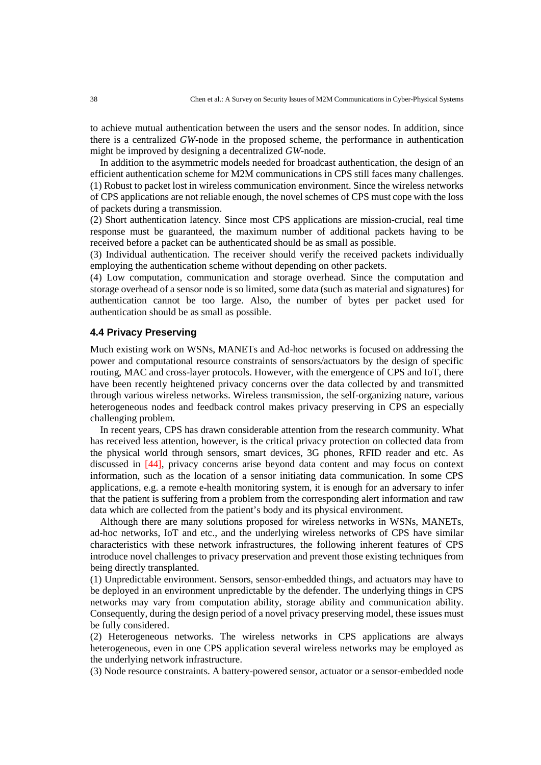to achieve mutual authentication between the users and the sensor nodes. In addition, since there is a centralized *GW*-node in the proposed scheme, the performance in authentication might be improved by designing a decentralized *GW*-node.

In addition to the asymmetric models needed for broadcast authentication, the design of an efficient authentication scheme for M2M communications in CPS still faces many challenges. (1) Robust to packet lost in wireless communication environment. Since the wireless networks of CPS applications are not reliable enough, the novel schemes of CPS must cope with the loss of packets during a transmission.

(2) Short authentication latency. Since most CPS applications are mission-crucial, real time response must be guaranteed, the maximum number of additional packets having to be received before a packet can be authenticated should be as small as possible.

(3) Individual authentication. The receiver should verify the received packets individually employing the authentication scheme without depending on other packets.

(4) Low computation, communication and storage overhead. Since the computation and storage overhead of a sensor node is so limited, some data (such as material and signatures) for authentication cannot be too large. Also, the number of bytes per packet used for authentication should be as small as possible.

## **4.4 Privacy Preserving**

Much existing work on WSNs, MANETs and Ad-hoc networks is focused on addressing the power and computational resource constraints of sensors/actuators by the design of specific routing, MAC and cross-layer protocols. However, with the emergence of CPS and IoT, there have been recently heightened privacy concerns over the data collected by and transmitted through various wireless networks. Wireless transmission, the self-organizing nature, various heterogeneous nodes and feedback control makes privacy preserving in CPS an especially challenging problem.

In recent years, CPS has drawn considerable attention from the research community. What has received less attention, however, is the critical privacy protection on collected data from the physical world through sensors, smart devices, 3G phones, RFID reader and etc. As discussed in [44], privacy concerns arise beyond data content and may focus on context information, such as the location of a sensor initiating data communication. In some CPS applications, e.g. a remote e-health monitoring system, it is enough for an adversary to infer that the patient is suffering from a problem from the corresponding alert information and raw data which are collected from the patient's body and its physical environment.

Although there are many solutions proposed for wireless networks in WSNs, MANETs, ad-hoc networks, IoT and etc., and the underlying wireless networks of CPS have similar characteristics with these network infrastructures, the following inherent features of CPS introduce novel challenges to privacy preservation and prevent those existing techniques from being directly transplanted.

(1) Unpredictable environment. Sensors, sensor-embedded things, and actuators may have to be deployed in an environment unpredictable by the defender. The underlying things in CPS networks may vary from computation ability, storage ability and communication ability. Consequently, during the design period of a novel privacy preserving model, these issues must be fully considered.

(2) Heterogeneous networks. The wireless networks in CPS applications are always heterogeneous, even in one CPS application several wireless networks may be employed as the underlying network infrastructure.

(3) Node resource constraints. A battery-powered sensor, actuator or a sensor-embedded node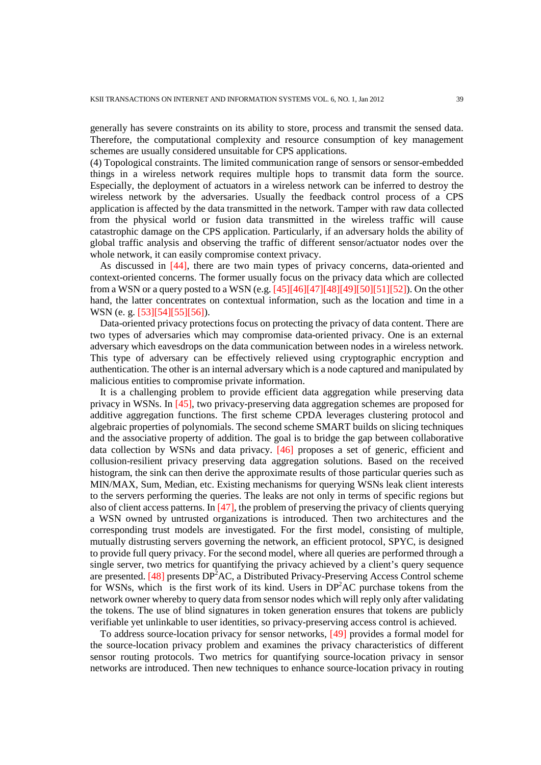generally has severe constraints on its ability to store, process and transmit the sensed data. Therefore, the computational complexity and resource consumption of key management schemes are usually considered unsuitable for CPS applications.

(4) Topological constraints. The limited communication range of sensors or sensor-embedded things in a wireless network requires multiple hops to transmit data form the source. Especially, the deployment of actuators in a wireless network can be inferred to destroy the wireless network by the adversaries. Usually the feedback control process of a CPS application is affected by the data transmitted in the network. Tamper with raw data collected from the physical world or fusion data transmitted in the wireless traffic will cause catastrophic damage on the CPS application. Particularly, if an adversary holds the ability of global traffic analysis and observing the traffic of different sensor/actuator nodes over the whole network, it can easily compromise context privacy.

As discussed in [44], there are two main types of privacy concerns, data-oriented and context-oriented concerns. The former usually focus on the privacy data which are collected from a WSN or a query posted to a WSN (e.g.  $[45][46][47][48][49][50][51][52]$ ). On the other hand, the latter concentrates on contextual information, such as the location and time in a WSN (e. g. [53][54][55][56]).

Data-oriented privacy protections focus on protecting the privacy of data content. There are two types of adversaries which may compromise data-oriented privacy. One is an external adversary which eavesdrops on the data communication between nodes in a wireless network. This type of adversary can be effectively relieved using cryptographic encryption and authentication. The other is an internal adversary which is a node captured and manipulated by malicious entities to compromise private information.

It is a challenging problem to provide efficient data aggregation while preserving data privacy in WSNs. In [45], two privacy-preserving data aggregation schemes are proposed for additive aggregation functions. The first scheme CPDA leverages clustering protocol and algebraic properties of polynomials. The second scheme SMART builds on slicing techniques and the associative property of addition. The goal is to bridge the gap between collaborative data collection by WSNs and data privacy. [46] proposes a set of generic, efficient and collusion-resilient privacy preserving data aggregation solutions. Based on the received histogram, the sink can then derive the approximate results of those particular queries such as MIN/MAX, Sum, Median, etc. Existing mechanisms for querying WSNs leak client interests to the servers performing the queries. The leaks are not only in terms of specific regions but also of client access patterns. In  $[47]$ , the problem of preserving the privacy of clients querying a WSN owned by untrusted organizations is introduced. Then two architectures and the corresponding trust models are investigated. For the first model, consisting of multiple, mutually distrusting servers governing the network, an efficient protocol, SPYC, is designed to provide full query privacy. For the second model, where all queries are performed through a single server, two metrics for quantifying the privacy achieved by a client's query sequence are presented. [48] presents  $DP<sup>2</sup>AC$ , a Distributed Privacy-Preserving Access Control scheme for WSNs, which is the first work of its kind. Users in  $DP<sup>2</sup>AC$  purchase tokens from the network owner whereby to query data from sensor nodes which will reply only after validating the tokens. The use of blind signatures in token generation ensures that tokens are publicly verifiable yet unlinkable to user identities, so privacy-preserving access control is achieved.

To address source-location privacy for sensor networks, [49] provides a formal model for the source-location privacy problem and examines the privacy characteristics of different sensor routing protocols. Two metrics for quantifying source-location privacy in sensor networks are introduced. Then new techniques to enhance source-location privacy in routing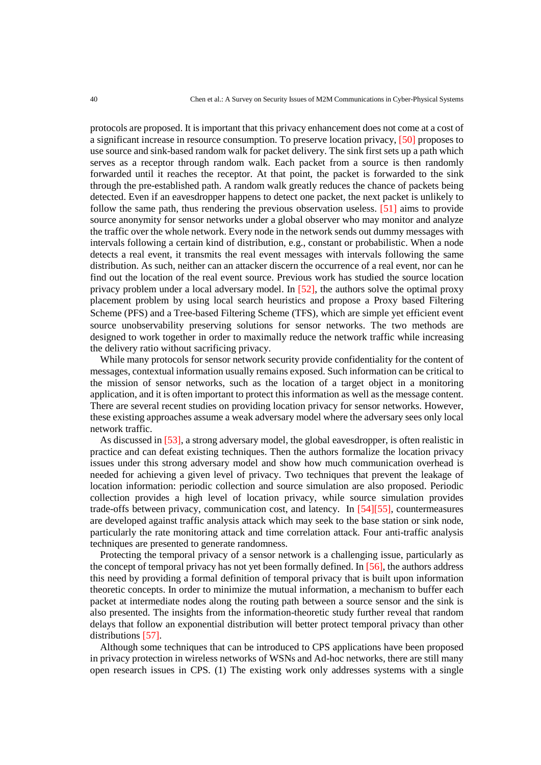protocols are proposed. It is important that this privacy enhancement does not come at a cost of a significant increase in resource consumption. To preserve location privacy, [50] proposes to use source and sink-based random walk for packet delivery. The sink first sets up a path which serves as a receptor through random walk. Each packet from a source is then randomly forwarded until it reaches the receptor. At that point, the packet is forwarded to the sink through the pre-established path. A random walk greatly reduces the chance of packets being detected. Even if an eavesdropper happens to detect one packet, the next packet is unlikely to follow the same path, thus rendering the previous observation useless. [51] aims to provide source anonymity for sensor networks under a global observer who may monitor and analyze the traffic over the whole network. Every node in the network sends out dummy messages with intervals following a certain kind of distribution, e.g., constant or probabilistic. When a node detects a real event, it transmits the real event messages with intervals following the same distribution. As such, neither can an attacker discern the occurrence of a real event, nor can he find out the location of the real event source. Previous work has studied the source location privacy problem under a local adversary model. In [52], the authors solve the optimal proxy placement problem by using local search heuristics and propose a Proxy based Filtering Scheme (PFS) and a Tree-based Filtering Scheme (TFS), which are simple yet efficient event source unobservability preserving solutions for sensor networks. The two methods are designed to work together in order to maximally reduce the network traffic while increasing the delivery ratio without sacrificing privacy.

While many protocols for sensor network security provide confidentiality for the content of messages, contextual information usually remains exposed. Such information can be critical to the mission of sensor networks, such as the location of a target object in a monitoring application, and it is often important to protect this information as well as the message content. There are several recent studies on providing location privacy for sensor networks. However, these existing approaches assume a weak adversary model where the adversary sees only local network traffic.

As discussed in [53], a strong adversary model, the global eavesdropper, is often realistic in practice and can defeat existing techniques. Then the authors formalize the location privacy issues under this strong adversary model and show how much communication overhead is needed for achieving a given level of privacy. Two techniques that prevent the leakage of location information: periodic collection and source simulation are also proposed. Periodic collection provides a high level of location privacy, while source simulation provides trade-offs between privacy, communication cost, and latency. In [54][55], countermeasures are developed against traffic analysis attack which may seek to the base station or sink node, particularly the rate monitoring attack and time correlation attack. Four anti-traffic analysis techniques are presented to generate randomness.

Protecting the temporal privacy of a sensor network is a challenging issue, particularly as the concept of temporal privacy has not yet been formally defined. In  $[56]$ , the authors address this need by providing a formal definition of temporal privacy that is built upon information theoretic concepts. In order to minimize the mutual information, a mechanism to buffer each packet at intermediate nodes along the routing path between a source sensor and the sink is also presented. The insights from the information-theoretic study further reveal that random delays that follow an exponential distribution will better protect temporal privacy than other distributions [57].

Although some techniques that can be introduced to CPS applications have been proposed in privacy protection in wireless networks of WSNs and Ad-hoc networks, there are still many open research issues in CPS. (1) The existing work only addresses systems with a single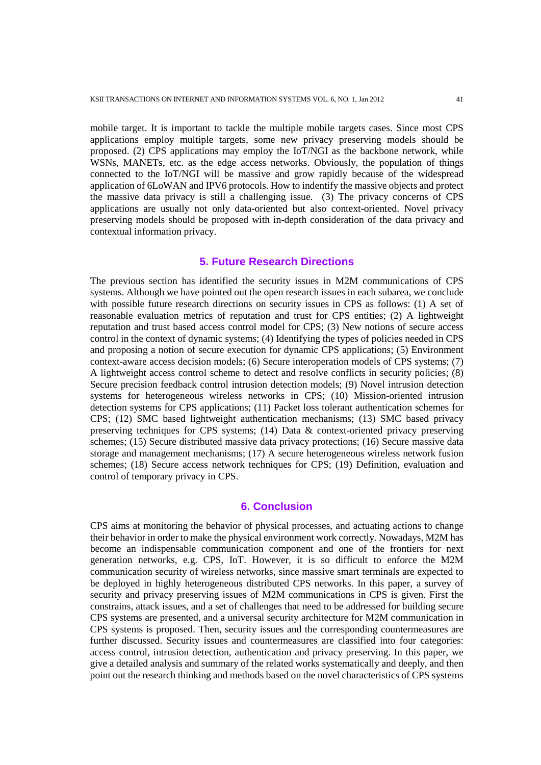mobile target. It is important to tackle the multiple mobile targets cases. Since most CPS applications employ multiple targets, some new privacy preserving models should be proposed. (2) CPS applications may employ the IoT/NGI as the backbone network, while WSNs, MANETs, etc. as the edge access networks. Obviously, the population of things connected to the IoT/NGI will be massive and grow rapidly because of the widespread application of 6LoWAN and IPV6 protocols. How to indentify the massive objects and protect the massive data privacy is still a challenging issue. (3) The privacy concerns of CPS applications are usually not only data-oriented but also context-oriented. Novel privacy preserving models should be proposed with in-depth consideration of the data privacy and contextual information privacy.

# **5. Future Research Directions**

The previous section has identified the security issues in M2M communications of CPS systems. Although we have pointed out the open research issues in each subarea, we conclude with possible future research directions on security issues in CPS as follows: (1) A set of reasonable evaluation metrics of reputation and trust for CPS entities; (2) A lightweight reputation and trust based access control model for CPS; (3) New notions of secure access control in the context of dynamic systems; (4) Identifying the types of policies needed in CPS and proposing a notion of secure execution for dynamic CPS applications; (5) Environment context-aware access decision models; (6) Secure interoperation models of CPS systems; (7) A lightweight access control scheme to detect and resolve conflicts in security policies; (8) Secure precision feedback control intrusion detection models; (9) Novel intrusion detection systems for heterogeneous wireless networks in CPS; (10) Mission-oriented intrusion detection systems for CPS applications; (11) Packet loss tolerant authentication schemes for CPS; (12) SMC based lightweight authentication mechanisms; (13) SMC based privacy preserving techniques for CPS systems; (14) Data & context-oriented privacy preserving schemes; (15) Secure distributed massive data privacy protections; (16) Secure massive data storage and management mechanisms; (17) A secure heterogeneous wireless network fusion schemes; (18) Secure access network techniques for CPS; (19) Definition, evaluation and control of temporary privacy in CPS.

#### **6. Conclusion**

CPS aims at monitoring the behavior of physical processes, and actuating actions to change their behavior in order to make the physical environment work correctly. Nowadays, M2M has become an indispensable communication component and one of the frontiers for next generation networks, e.g. CPS, IoT. However, it is so difficult to enforce the M2M communication security of wireless networks, since massive smart terminals are expected to be deployed in highly heterogeneous distributed CPS networks. In this paper, a survey of security and privacy preserving issues of M2M communications in CPS is given. First the constrains, attack issues, and a set of challenges that need to be addressed for building secure CPS systems are presented, and a universal security architecture for M2M communication in CPS systems is proposed. Then, security issues and the corresponding countermeasures are further discussed. Security issues and countermeasures are classified into four categories: access control, intrusion detection, authentication and privacy preserving. In this paper, we give a detailed analysis and summary of the related works systematically and deeply, and then point out the research thinking and methods based on the novel characteristics of CPS systems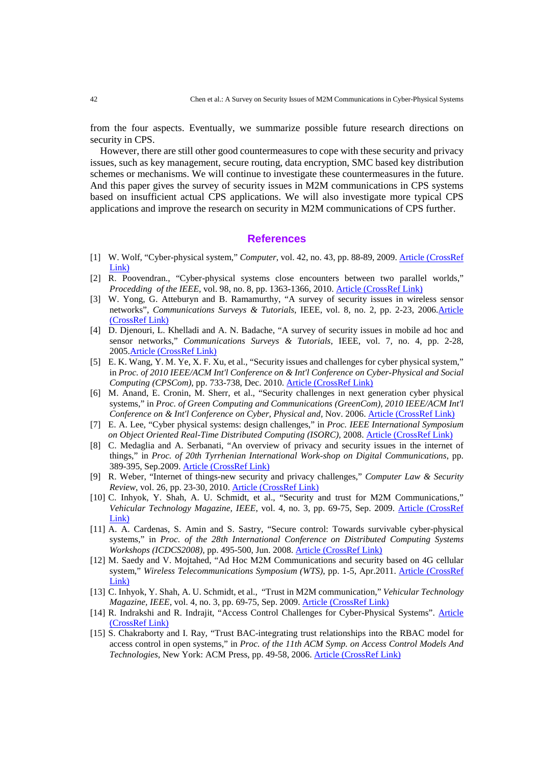from the four aspects. Eventually, we summarize possible future research directions on security in CPS.

However, there are still other good countermeasures to cope with these security and privacy issues, such as key management, secure routing, data encryption, SMC based key distribution schemes or mechanisms. We will continue to investigate these countermeasures in the future. And this paper gives the survey of security issues in M2M communications in CPS systems based on insufficient actual CPS applications. We will also investigate more typical CPS applications and improve the research on security in M2M communications of CPS further.

# **References**

- [1] W. Wolf, "Cyber-physical system," *Computer*, vol. 42, no. 43, pp. 88-89, 2009. [Article \(CrossRef](http://dx.doi.org/10.1109/MC.2009.81)  [Link\)](http://dx.doi.org/10.1109/MC.2009.81)
- [2] R. Poovendran., "Cyber-physical systems close encounters between two parallel worlds," *Procedding of the IEEE*, vol. 98, no. 8, pp. 1363-1366, 2010. **[Article \(CrossRef Link\)](http://ieeexplore.ieee.org/xpls/abs_all.jsp?arnumber=5512708&tag=1)**
- [3] W. Yong, G. Atteburyn and B. Ramamurthy, "A survey of security issues in wireless sensor networks", *Communications Surveys & Tutorials*, IEEE, vol. 8, no. 2, pp. 2-23, 200[6.Article](http://dx.doi.org/10.1109/COMST.2006.315852)  [\(CrossRef Link\)](http://dx.doi.org/10.1109/COMST.2006.315852)
- [4] D. Djenouri, L. Khelladi and A. N. Badache, "A survey of security issues in mobile ad hoc and sensor networks," *Communications Surveys & Tutorials*, IEEE, vol. 7, no. 4, pp. 2-28, 2005[.Article \(CrossRef Link\)](http://dx.doi.org/10.1109/COMST.2005.1593277)
- [5] E. K. Wang, Y. M. Ye, X. F. Xu, et al., "Security issues and challenges for cyber physical system," in *Proc. of 2010 IEEE/ACM Int'l Conference on & Int'l Conference on Cyber-Physical and Social Computing (CPSCom)*, pp. 733-738, Dec. 2010. [Article \(CrossRef Link\)](http://ieeexplore.ieee.org/xpls/abs_all.jsp?arnumber=5724910)
- [6] M. Anand, E. Cronin, M. Sherr, et al., "Security challenges in next generation cyber physical systems," in *Proc. of Green Computing and Communications (GreenCom), 2010 IEEE/ACM Int'l Conference on & Int'l Conference on Cyber, Physical and, Nov. 2006. [Article \(CrossRef Link\)](http://ieeexplore.ieee.org/xpls/abs_all.jsp?arnumber=5724910)*
- [7] E. A. Lee, "Cyber physical systems: design challenges," in *Proc. IEEE International Symposium on Object Oriented Real-Time Distributed Computing (ISORC),* 2008. [Article \(CrossRef Link\)](http://ieeexplore.ieee.org/xpls/abs_all.jsp?arnumber=4519604)
- [8] C. Medaglia and A. Serbanati, "An overview of privacy and security issues in the internet of things," in *Proc. of 20th Tyrrhenian International Work-shop on Digital Communications*, pp. 389-395, Sep.2009. [Article \(CrossRef Link\)](http://www.springerlink.com/index/l57x345043073616.pdf)
- [9] R. Weber, "Internet of things-new security and privacy challenges," *Computer Law & Security Review*, vol. 26, pp. 23-30, 2010. [Article \(CrossRef Link\)](http://dx.doi.org/10.1016/j.clsr.2009.11.008)
- [10] C. Inhyok, Y. Shah, A. U. Schmidt, et al., "Security and trust for M2M Communications," *Vehicular Technology Magazine, IEEE*, vol. 4, no. 3, pp. 69-75, Sep. 2009. [Article \(CrossRef](http://dx.doi.org/10.1109/MVT.2009.933478)  [Link\)](http://dx.doi.org/10.1109/MVT.2009.933478)
- [11] A. A. Cardenas, S. Amin and S. Sastry, "Secure control: Towards survivable cyber-physical systems," in *Proc. of the 28th International Conference on Distributed Computing Systems Workshops (ICDCS2008)*, pp. 495-500, Jun. 2008. [Article \(CrossRef Link\)](http://ieeexplore.ieee.org/xpls/abs_all.jsp?arnumber=4577833)
- [12] M. Saedy and V. Mojtahed, "Ad Hoc M2M Communications and security based on 4G cellular system," *Wireless Telecommunications Symposium (WTS)*, pp. 1-5, Apr.2011. Article (CrossRef [Link\)](http://dx.doi.org/10.1109/WTS.2011.5960828)
- [13] C. Inhyok, Y. Shah, A. U. Schmidt, et al., "Trust in M2M communication," *Vehicular Technology Magazine, IEEE, vol. 4, no. 3, pp. 69-75, Sep. 2009.* **[Article \(CrossRef Link\)](http://dx.doi.org/10.1109/MVT.2009.933478)**
- [14] R. Indrakshi and R. Indrajit, "Access Control Challenges for Cyber-Physical Systems". [Article](http://cimic.rutgers.edu/positionPapers/paper_Indrakshiray.pdf)  [\(CrossRef Link\)](http://cimic.rutgers.edu/positionPapers/paper_Indrakshiray.pdf)
- [15] S. Chakraborty and I. Ray, "Trust BAC-integrating trust relationships into the RBAC model for access control in open systems," in *Proc. of the 11th ACM Symp. on Access Control Models And Technologies*, New York: ACM Press, pp. 49-58, 2006. [Article \(CrossRef Link\)](http://www.fb6.tu-bs.de/PHP/hci/Trust-based%20authorization%20TrustBAC%20integrating%20trust%20relationships%20into%20the%20RBAC%20model%20for%20access%20control%20in%20open%20systems.pdf)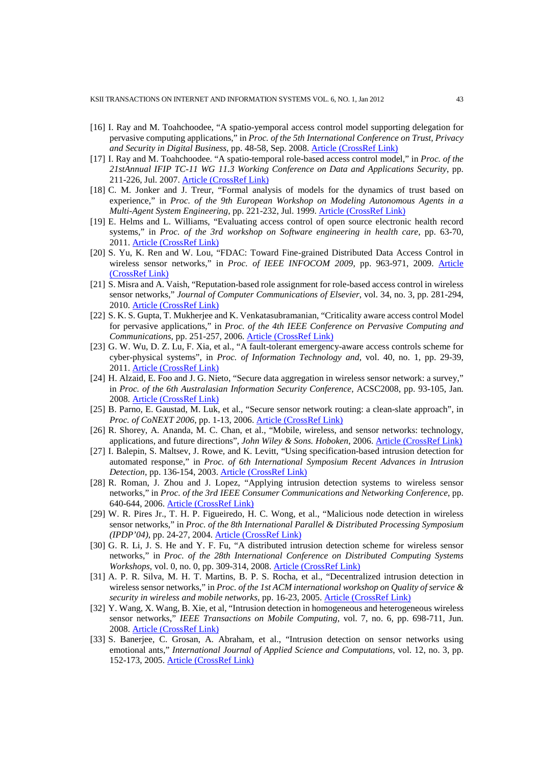- [16] I. Ray and M. Toahchoodee, "A spatio-yemporal access control model supporting delegation for pervasive computing applications," in *Proc. of the 5th International Conference on Trust, Privacy and Security in Digital Business*, pp. 48-58, Sep. 2008. [Article \(CrossRef Link\)](http://dx.doi.org/10.1007/978-3-540-85735-8_6)
- [17] I. Ray and M. Toahchoodee. "A spatio-temporal role-based access control model," in *Proc. of the 21stAnnual IFIP TC-11 WG 11.3 Working Conference on Data and Applications Security*, pp. 211-226, Jul. 2007. [Article \(CrossRef Link\)](http://www.springerlink.com/index/C3T50338535HX115.pdf)
- [18] C. M. Jonker and J. Treur, "Formal analysis of models for the dynamics of trust based on experience," in *Proc. of the 9th European Workshop on Modeling Autonomous Agents in a Multi-Agent System Engineering*, pp. 221-232, Jul. 1999. [Article \(CrossRef Link\)](http://www.springerlink.com/content/a71364wt2q325h1j.pdf)
- [19] E. Helms and L. Williams, "Evaluating access control of open source electronic health record systems," in *Proc. of the 3rd workshop on Software engineering in health care*, pp. 63-70, 2011. [Article \(CrossRef Link\)](http://dl.acm.org/citation.cfm?id=1988006)
- [20] S. Yu, K. Ren and W. Lou, "FDAC: Toward Fine-grained Distributed Data Access Control in wireless sensor networks," in *Proc. of IEEE INFOCOM 2009*, pp. 963-971, 2009. [Article](http://ieeexplore.ieee.org/xpls/abs_all.jsp?arnumber=5062007)  [\(CrossRef Link\)](http://ieeexplore.ieee.org/xpls/abs_all.jsp?arnumber=5062007)
- [21] S. Misra and A. Vaish, "Reputation-based role assignment for role-based access control in wireless sensor networks," *Journal of Computer Communications of Elsevier*, vol. 34, no. 3, pp. 281-294, 2010. [Article \(CrossRef Link\)](http://www.sciencedirect.com/science/article/pii/S0140366410000885)
- [22] S. K. S. Gupta, T. Mukherjee and K. Venkatasubramanian, "Criticality aware access control Model for pervasive applications," in *Proc. of the 4th IEEE Conference on Pervasive Computing and Communications*, pp. 251-257, 2006. [Article \(CrossRef Link\)](http://ieeexplore.ieee.org/xpls/abs_all.jsp?arnumber=1604815)
- [23] G. W. Wu, D. Z. Lu, F. Xia, et al., "A fault-tolerant emergency-aware access controls scheme for cyber-physical systems", in *Proc. of Information Technology and*, vol. 40, no. 1, pp. 29-39, 2011. [Article \(CrossRef Link\)](http://dx.doi.org/10.5755/j01.itc.40.1.190)
- [24] H. Alzaid, E. Foo and J. G. Nieto, "Secure data aggregation in wireless sensor network: a survey," in *Proc. of the 6th Australasian Information Security Conference*, ACSC2008, pp. 93-105, Jan. 2008. [Article \(CrossRef Link\)](http://dl.acm.org/citation.cfm?id=1385127)
- [25] B. Parno, E. Gaustad, M. Luk, et al., "Secure sensor network routing: a clean-slate approach", in *Proc. of CoNEXT 2006*, pp. 1-13, 2006. [Article \(CrossRef Link\)](http://dl.acm.org/citation.cfm?id=1368452)
- [26] R. Shorey, A. Ananda, M. C. Chan, et al., "Mobile, wireless, and sensor networks: technology, applications, and future directions", *John Wiley & Sons. Hoboken*, 2006. [Article \(CrossRef Link\)](http://www.google.cn/books?hl=zh-CN&lr=&id=tVyNRc-muzcC&oi=fnd&pg=PR7&dq=Mobile,+wireless,+and+sensor+networks:+technology,+applications,+and+future+directions&ots=r2i7ssSo8y&sig=2HF2NC9M1vWyv-b_Is9VSSBscHI&redir_esc=y)
- [27] I. Balepin, S. Maltsev, J. Rowe, and K. Levitt, "Using specification-based intrusion detection for automated response," in *Proc. of 6th International Symposium Recent Advances in Intrusion Detection*, pp. 136-154, 2003. [Article \(CrossRef Link\)](http://www.springerlink.com/content/gtvy0d0dexr50x1c/)
- [28] R. Roman, J. Zhou and J. Lopez, "Applying intrusion detection systems to wireless sensor networks," in *Proc. of the 3rd IEEE Consumer Communications and Networking Conference*, pp. 640-644, 2006. [Article \(CrossRef Link\)](http://www.wsn-security.info/slides/2006/RZL06.pdf)
- [29] W. R. Pires Jr., T. H. P. Figueiredo, H. C. Wong, et al., "Malicious node detection in wireless sensor networks," in *Proc. of the 8th International Parallel & Distributed Processing Symposium (IPDP'04)*, pp. 24-27, 2004. [Article \(CrossRef Link\)](http://ieeexplore.ieee.org/xpls/abs_all.jsp?arnumber=1302934)
- [30] G. R. Li, J. S. He and Y. F. Fu, "A distributed intrusion detection scheme for wireless sensor networks," in *Proc. of the 28th International Conference on Distributed Computing Systems Workshops*, vol. 0, no. 0, pp. 309-314, 2008. [Article \(CrossRef Link\)](http://dx.doi.org/10.1109/ICDCS.Workshops.2008.19)
- [31] A. P. R. Silva, M. H. T. Martins, B. P. S. Rocha, et al., "Decentralized intrusion detection in wireless sensor networks," in *Proc. of the 1st ACM international workshop on Quality of service & security in wireless and mobile networks*, pp. 16-23, 2005. [Article \(CrossRef Link\)](http://dl.acm.org/citation.cfm?id=1089765)
- [32] Y. Wang, X. Wang, B. Xie, et al, "Intrusion detection in homogeneous and heterogeneous wireless sensor networks," *IEEE Transactions on Mobile Computing*, vol. 7, no. 6, pp. 698-711, Jun. 2008. [Article \(CrossRef Link\)](http://dx.doi.org/10.1109/TMC.2008.19)
- [33] S. Banerjee, C. Grosan, A. Abraham, et al., "Intrusion detection on sensor networks using emotional ants," *International Journal of Applied Science and Computations*, vol. 12, no. 3, pp. 152-173, 2005. [Article \(CrossRef Link\)](http://wsc9.softcomputing.net/soumya2.pdf)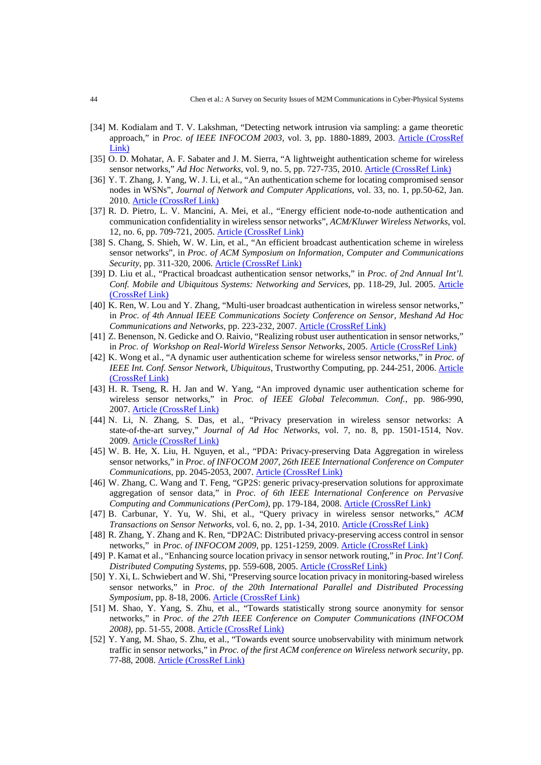- [34] M. Kodialam and T. V. Lakshman, "Detecting network intrusion via sampling: a game theoretic approach," in *Proc. of IEEE INFOCOM 2003*, vol. 3, pp. 1880-1889, 2003. [Article \(CrossRef](http://ieeexplore.ieee.org/xpls/abs_all.jsp?arnumber=1209210)   $Link$
- [35] O. D. Mohatar, A. F. Sabater and J. M. Sierra, "A lightweight authentication scheme for wireless sensor networks," *Ad Hoc Networks*, vol. 9, no. 5, pp. 727-735, 2010. **[Article \(CrossRef Link\)](http://www.sciencedirect.com/science/article/pii/S1570870510001307)**
- [36] Y. T. Zhang, J. Yang, W. J. Li, et al., "An authentication scheme for locating compromised sensor nodes in WSNs", *Journal of Network and Computer Applications*, vol. 33, no. 1, pp.50-62, Jan. 2010. [Article \(CrossRef Link\)](http://dx.doi.org/10.1016/j.jnca.2009.06.003)
- [37] R. D. Pietro, L. V. Mancini, A. Mei, et al., "Energy efficient node-to-node authentication and communication confidentiality in wireless sensor networks", *ACM/Kluwer Wireless Networks*, vol. 12, no. 6, pp. 709-721, 2005. [Article \(CrossRef Link\)](http://dx.doi.org/10.1007/s11276-006-6530-5)
- [38] S. Chang, S. Shieh, W. W. Lin, et al., "An efficient broadcast authentication scheme in wireless sensor networks", in *Proc. of ACM Symposium on Information, Computer and Communications Security*, pp. 311-320, 2006. [Article \(CrossRef Link\)](http://dl.acm.org/citation.cfm?id=1128864)
- [39] D. Liu et al., "Practical broadcast authentication sensor networks," in *Proc. of 2nd Annual Int'l. Conf. Mobile and Ubiquitous Systems: Networking and Services*, pp. 118-29, Jul. 2005. [Article](http://ieeexplore.ieee.org/xpls/abs_all.jsp?arnumber=1540993)  [\(CrossRef Link\)](http://ieeexplore.ieee.org/xpls/abs_all.jsp?arnumber=1540993)
- [40] K. Ren, W. Lou and Y. Zhang, "Multi-user broadcast authentication in wireless sensor networks," in *Proc. of 4th Annual IEEE Communications Society Conference on Sensor, Meshand Ad Hoc Communications and Networks*, pp. 223-232, 2007. [Article \(CrossRef Link\)](http://ieeexplore.ieee.org/xpls/abs_all.jsp?arnumber=4810133)
- [41] Z. Benenson, N. Gedicke and O. Raivio, "Realizing robust user authentication in sensor networks," in *Proc. of Workshop on Real-World Wireless Sensor Networks*, 2005. [Article \(CrossRef Link\)](http://www.sics.se/realwsn05/papers/benenson05realizing.pdf)
- [42] K. Wong et al., "A dynamic user authentication scheme for wireless sensor networks," in *Proc. of IEEE Int. Conf. Sensor Network, Ubiquitous*, Trustworthy Computing, pp. 244-251, 2006. [Article](http://ieeexplore.ieee.org/xpls/abs_all.jsp?arnumber=1636182)  [\(CrossRef Link\)](http://ieeexplore.ieee.org/xpls/abs_all.jsp?arnumber=1636182)
- [43] H. R. Tseng, R. H. Jan and W. Yang, "An improved dynamic user authentication scheme for wireless sensor networks," in *Proc. of IEEE Global Telecommun. Conf.*, pp. 986-990, 2007. [Article \(CrossRef Link\)](http://ieeexplore.ieee.org/xpls/abs_all.jsp?arnumber=4411100)
- [44] N. Li, N. Zhang, S. Das, et al., "Privacy preservation in wireless sensor networks: A state-of-the-art survey," *Journal of Ad Hoc Networks*, vol. 7, no. 8, pp. 1501-1514, Nov. 2009. [Article \(CrossRef Link\)](http://dx.doi.org/10.1016/j.adhoc.2009.04.009)
- [45] W. B. He, X. Liu, H. Nguyen, et al., "PDA: Privacy-preserving Data Aggregation in wireless sensor networks," in *Proc. of INFOCOM 2007, 26th IEEE International Conference on Computer Communications*, pp. 2045-2053, 2007. [Article \(CrossRef Link\)](http://dx.doi.org/10.1109/INFCOM.2007.237)
- [46] W. Zhang, C. Wang and T. Feng, "GP2S: generic privacy-preservation solutions for approximate aggregation of sensor data," in *Proc. of 6th IEEE International Conference on Pervasive Computing and Communications (PerCom)*, pp. 179-184, 2008. [Article \(CrossRef Link\)](http://ieeexplore.ieee.org/xpls/abs_all.jsp?arnumber=4517392)
- [47] B. Carbunar, Y. Yu, W. Shi, et al., "Query privacy in wireless sensor networks," *ACM Transactions on Sensor Networks*, vol. 6, no. 2, pp. 1-34, 2010. [Article \(CrossRef Link\)](http://dx.doi.org/10.1145/1689239.1689244)
- [48] R. Zhang, Y. Zhang and K. Ren, "DP2AC: Distributed privacy-preserving access control in sensor networks," in *Proc. of INFOCOM 2009*, pp. 1251-1259, 2009. [Article \(CrossRef Link\)](http://ieeexplore.ieee.org/xpls/abs_all.jsp?arnumber=5062039)
- [49] P. Kamat et al., "Enhancing source location privacy in sensor network routing," in *Proc. Int'l Conf. Distributed Computing Systems*, pp. 559-608, 2005. [Article \(CrossRef Link\)](http://ieeexplore.ieee.org/xpls/abs_all.jsp?arnumber=1437121)
- [50] Y. Xi, L. Schwiebert and W. Shi, "Preserving source location privacy in monitoring-based wireless sensor networks," in *Proc. of the 20th International Parallel and Distributed Processing Symposium*, pp. 8-18, 2006. [Article \(CrossRef Link\)](http://ieeexplore.ieee.org/xpls/abs_all.jsp?arnumber=1639682)
- [51] M. Shao, Y. Yang, S. Zhu, et al., "Towards statistically strong source anonymity for sensor networks," in *Proc. of the 27th IEEE Conference on Computer Communications (INFOCOM 2008)*, pp. 51-55, 2008. [Article \(CrossRef Link\)](http://dx.doi.org/10.1109/INFOCOM.2008.19)
- [52] Y. Yang, M. Shao, S. Zhu, et al., "Towards event source unobservability with minimum network traffic in sensor networks," in *Proc. of the first ACM conference on Wireless network security*, pp. 77-88, 2008. [Article \(CrossRef Link\)](http://dl.acm.org/citation.cfm?id=1352547)